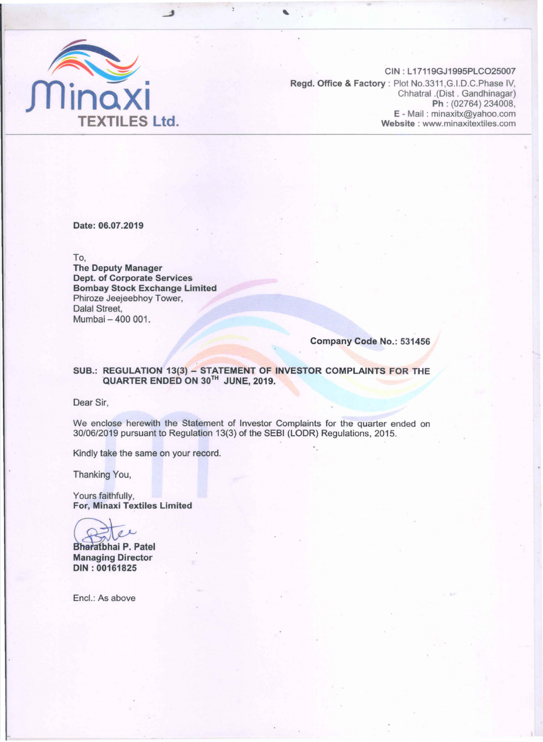

CIN: L17119GJ1995PLCO25007 Regd. Office & Factory: Plot No.3311 ,G.I.D.C.Phase IV, Chhatral .(Dist . Gandhinagar) Ph : (02764) 234008, E-Mail: minaxitx@yahoo.com Website: www.minaxitextiles.com

Date: 06.07.2019

To,

The Deputy Manager Dept. of Corporate Services Bombay Stock Exchange Limited Phiroze Jeejeebhoy Tower, Dalal Street, Mumbai - 400 001.

## Company Code No.: 531456

## SUB.: REGULATION 13(3) – STATEMENT OF INVESTOR COMPLAINTS FOR THE QUARTER ENDED ON 30TH JUNE,2019.

Dear Sir,

We enclose herewith the Statement of Investor Complaints for the quarter ended on 30106/2019 pursuant to Regulation 13(3) of the SEBI (LODR) Regulations, 2015.

Kindly take the same on your record.

Thanking You,

Yours faithfully, For, Minaxi Textiles Limited

Bharatbhai P. Patel Managing Director DIN: 00161825

Encl.: As above